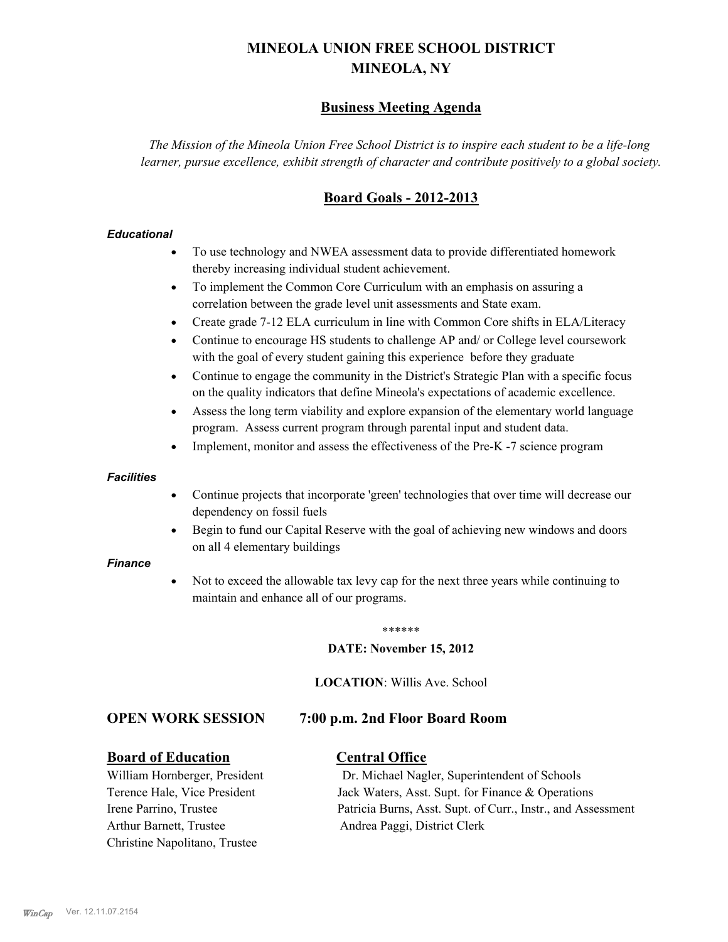# **MINEOLA UNION FREE SCHOOL DISTRICT MINEOLA, NY**

# **Business Meeting Agenda**

*The Mission of the Mineola Union Free School District is to inspire each student to be a life-long learner, pursue excellence, exhibit strength of character and contribute positively to a global society.*

# **Board Goals - 2012-2013**

### *Educational*

- · To use technology and NWEA assessment data to provide differentiated homework thereby increasing individual student achievement.
- · To implement the Common Core Curriculum with an emphasis on assuring a correlation between the grade level unit assessments and State exam.
- Create grade 7-12 ELA curriculum in line with Common Core shifts in ELA/Literacy
- Continue to encourage HS students to challenge AP and/ or College level coursework with the goal of every student gaining this experience before they graduate
- · Continue to engage the community in the District's Strategic Plan with a specific focus on the quality indicators that define Mineola's expectations of academic excellence.
- Assess the long term viability and explore expansion of the elementary world language program. Assess current program through parental input and student data.
- Implement, monitor and assess the effectiveness of the Pre-K -7 science program

### *Facilities*

- · Continue projects that incorporate 'green' technologies that over time will decrease our dependency on fossil fuels
- Begin to fund our Capital Reserve with the goal of achieving new windows and doors on all 4 elementary buildings

### *Finance*

Not to exceed the allowable tax levy cap for the next three years while continuing to maintain and enhance all of our programs.

### \*\*\*\*\*\*

### **DATE: November 15, 2012**

**LOCATION**: Willis Ave. School

### **OPEN WORK SESSION 7:00 p.m. 2nd Floor Board Room**

### **Board of Education Central Office**

Arthur Barnett, Trustee Andrea Paggi, District Clerk Christine Napolitano, Trustee

William Hornberger, President Dr. Michael Nagler, Superintendent of Schools Terence Hale, Vice President Jack Waters, Asst. Supt. for Finance & Operations Irene Parrino, Trustee Patricia Burns, Asst. Supt. of Curr., Instr., and Assessment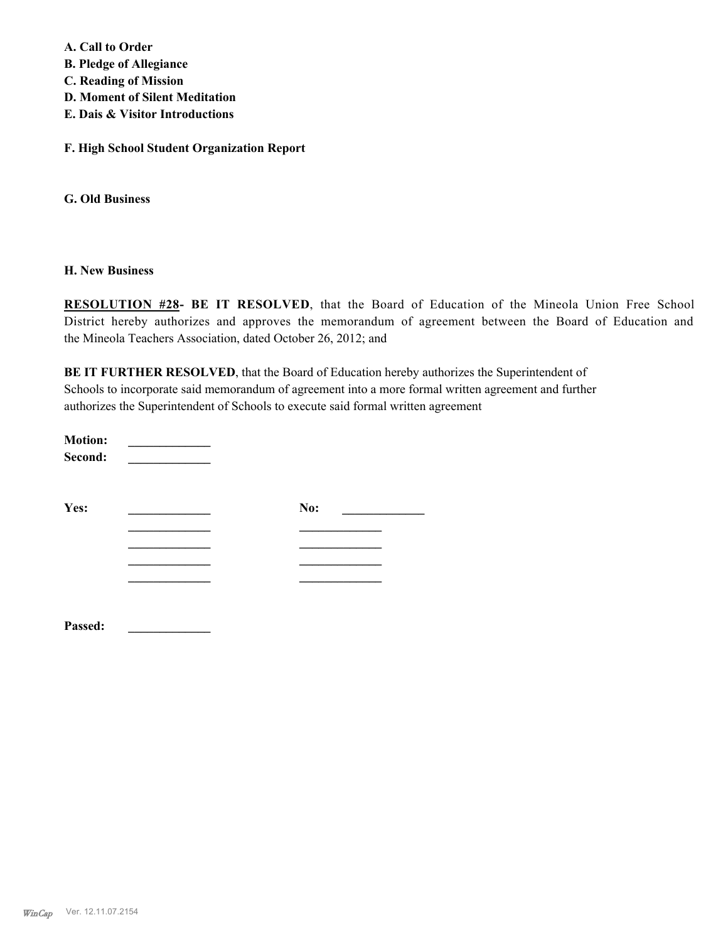**A. Call to Order** 

**B. Pledge of Allegiance**

- **C. Reading of Mission**
- **D. Moment of Silent Meditation**
- **E. Dais & Visitor Introductions**

**F. High School Student Organization Report**

**G. Old Business**

### **H. New Business**

**RESOLUTION #28- BE IT RESOLVED**, that the Board of Education of the Mineola Union Free School District hereby authorizes and approves the memorandum of agreement between the Board of Education and the Mineola Teachers Association, dated October 26, 2012; and

**BE IT FURTHER RESOLVED**, that the Board of Education hereby authorizes the Superintendent of Schools to incorporate said memorandum of agreement into a more formal written agreement and further authorizes the Superintendent of Schools to execute said formal written agreement

| <b>Motion:</b><br>Second: |     |  |
|---------------------------|-----|--|
| Yes:                      | No: |  |
|                           |     |  |
|                           |     |  |
|                           |     |  |
|                           |     |  |
| Passed:                   |     |  |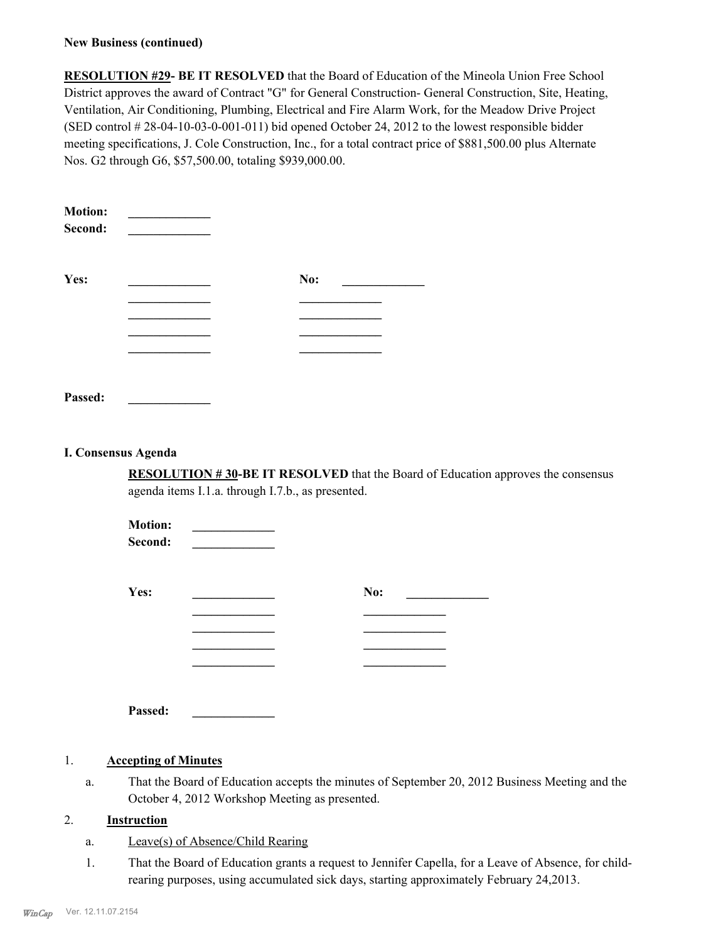### **New Business (continued)**

**RESOLUTION #29- BE IT RESOLVED** that the Board of Education of the Mineola Union Free School District approves the award of Contract "G" for General Construction- General Construction, Site, Heating, Ventilation, Air Conditioning, Plumbing, Electrical and Fire Alarm Work, for the Meadow Drive Project (SED control # 28-04-10-03-0-001-011) bid opened October 24, 2012 to the lowest responsible bidder meeting specifications, J. Cole Construction, Inc., for a total contract price of \$881,500.00 plus Alternate Nos. G2 through G6, \$57,500.00, totaling \$939,000.00.

| <b>Motion:</b><br>Second: |     |
|---------------------------|-----|
| Yes:                      | No: |
|                           |     |
|                           |     |
|                           |     |
|                           |     |
| Passed:                   |     |

### **I. Consensus Agenda**

**RESOLUTION # 30-BE IT RESOLVED** that the Board of Education approves the consensus agenda items I.1.a. through I.7.b., as presented.

| <b>Motion:</b><br>Second: |     |
|---------------------------|-----|
| Yes:                      | No: |
|                           |     |
|                           |     |
|                           |     |
|                           |     |

**Passed: \_\_\_\_\_\_\_\_\_\_\_\_\_**

### 1. **Accepting of Minutes**

That the Board of Education accepts the minutes of September 20, 2012 Business Meeting and the October 4, 2012 Workshop Meeting as presented. a.

### 2. **Instruction**

- a. Leave(s) of Absence/Child Rearing
- That the Board of Education grants a request to Jennifer Capella, for a Leave of Absence, for childrearing purposes, using accumulated sick days, starting approximately February 24,2013. 1.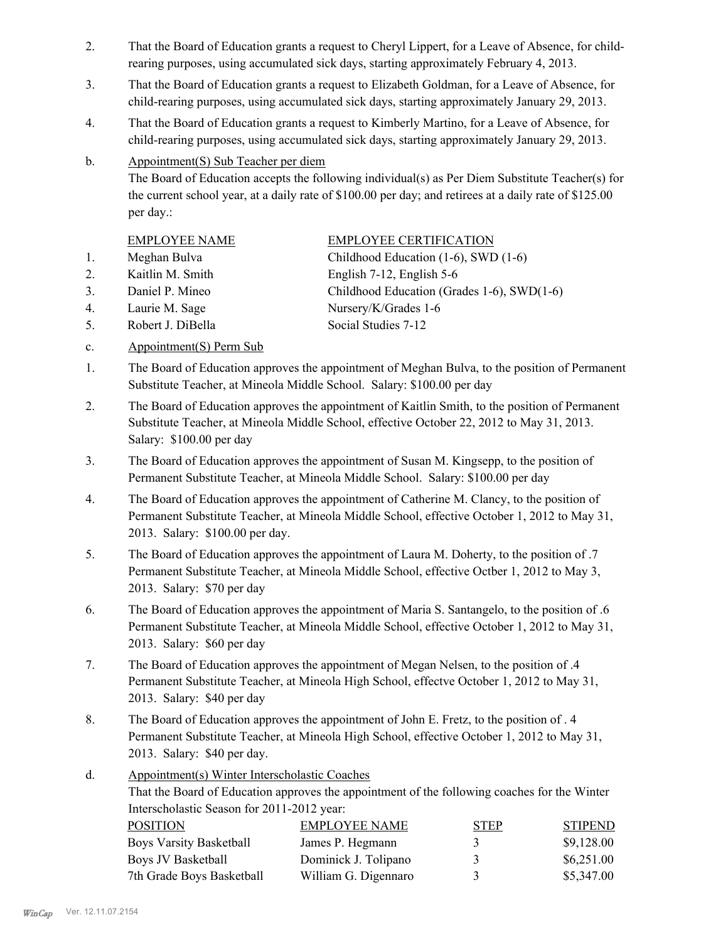- That the Board of Education grants a request to Cheryl Lippert, for a Leave of Absence, for childrearing purposes, using accumulated sick days, starting approximately February 4, 2013. 2.
- That the Board of Education grants a request to Elizabeth Goldman, for a Leave of Absence, for child-rearing purposes, using accumulated sick days, starting approximately January 29, 2013. 3.
- That the Board of Education grants a request to Kimberly Martino, for a Leave of Absence, for child-rearing purposes, using accumulated sick days, starting approximately January 29, 2013. 4.
- Appointment(S) Sub Teacher per diem b.

The Board of Education accepts the following individual(s) as Per Diem Substitute Teacher(s) for the current school year, at a daily rate of \$100.00 per day; and retirees at a daily rate of \$125.00 per day.:

- 
- 2. Kaitlin M. Smith English 7-12, English 5-6
- EMPLOYEE NAME EMPLOYEE CERTIFICATION
- 1. Meghan Bulva Childhood Education (1-6), SWD (1-6)
- 3. Daniel P. Mineo Childhood Education (Grades 1-6), SWD(1-6)
- 
- 

5. Robert J. DiBella Social Studies 7-12

4. Laurie M. Sage Nursery/K/Grades 1-6

- c. Appointment(S) Perm Sub
- The Board of Education approves the appointment of Meghan Bulva, to the position of Permanent Substitute Teacher, at Mineola Middle School. Salary: \$100.00 per day 1.
- The Board of Education approves the appointment of Kaitlin Smith, to the position of Permanent Substitute Teacher, at Mineola Middle School, effective October 22, 2012 to May 31, 2013. Salary: \$100.00 per day 2.
- The Board of Education approves the appointment of Susan M. Kingsepp, to the position of Permanent Substitute Teacher, at Mineola Middle School. Salary: \$100.00 per day 3.
- The Board of Education approves the appointment of Catherine M. Clancy, to the position of Permanent Substitute Teacher, at Mineola Middle School, effective October 1, 2012 to May 31, 2013. Salary: \$100.00 per day. 4.
- The Board of Education approves the appointment of Laura M. Doherty, to the position of .7 Permanent Substitute Teacher, at Mineola Middle School, effective Octber 1, 2012 to May 3, 2013. Salary: \$70 per day 5.
- The Board of Education approves the appointment of Maria S. Santangelo, to the position of .6 Permanent Substitute Teacher, at Mineola Middle School, effective October 1, 2012 to May 31, 2013. Salary: \$60 per day 6.
- The Board of Education approves the appointment of Megan Nelsen, to the position of .4 Permanent Substitute Teacher, at Mineola High School, effectve October 1, 2012 to May 31, 2013. Salary: \$40 per day 7.
- The Board of Education approves the appointment of John E. Fretz, to the position of . 4 Permanent Substitute Teacher, at Mineola High School, effective October 1, 2012 to May 31, 2013. Salary: \$40 per day. 8.

### Appointment(s) Winter Interscholastic Coaches d.

That the Board of Education approves the appointment of the following coaches for the Winter Interscholastic Season for 2011-2012 year:

| <b>POSITION</b>                | <b>EMPLOYEE NAME</b> | <b>STEP</b>   | <b>STIPEND</b> |
|--------------------------------|----------------------|---------------|----------------|
| <b>Boys Varsity Basketball</b> | James P. Hegmann     | $\mathcal{L}$ | \$9,128.00     |
| Boys JV Basketball             | Dominick J. Tolipano | 3             | \$6,251.00     |
| 7th Grade Boys Basketball      | William G. Digennaro | 3             | \$5,347.00     |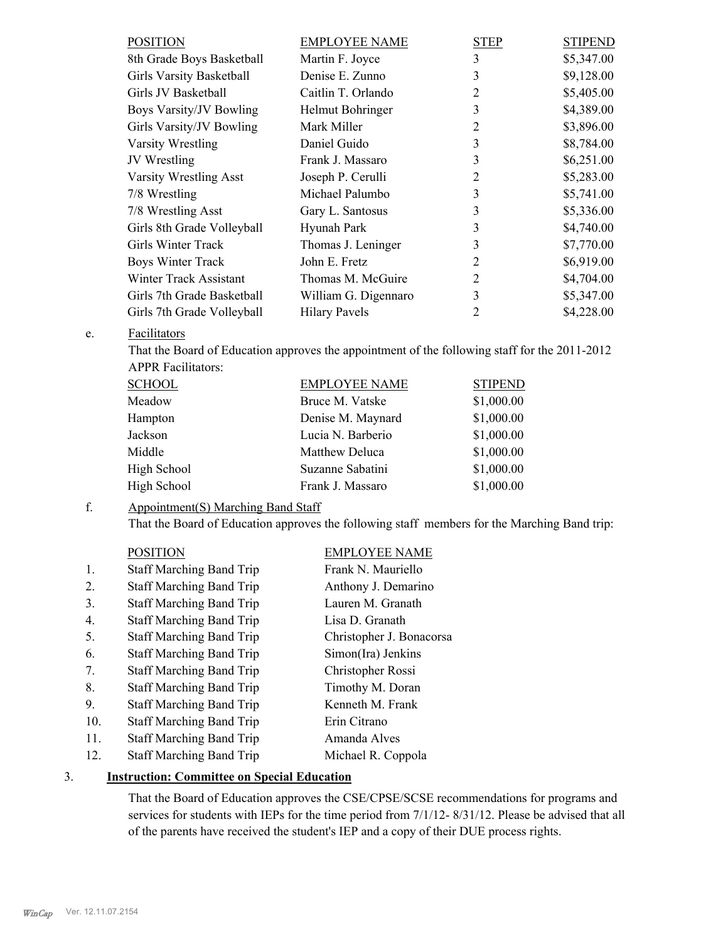| POSITION                        | <b>EMPLOYEE NAME</b> | <b>STEP</b> | <b>STIPEND</b> |
|---------------------------------|----------------------|-------------|----------------|
| 8th Grade Boys Basketball       | Martin F. Joyce      | 3           | \$5,347.00     |
| <b>Girls Varsity Basketball</b> | Denise E. Zunno      | 3           | \$9,128.00     |
| Girls JV Basketball             | Caitlin T. Orlando   | 2           | \$5,405.00     |
| Boys Varsity/JV Bowling         | Helmut Bohringer     | 3           | \$4,389.00     |
| Girls Varsity/JV Bowling        | Mark Miller          | 2           | \$3,896.00     |
| Varsity Wrestling               | Daniel Guido         | 3           | \$8,784.00     |
| JV Wrestling                    | Frank J. Massaro     | 3           | \$6,251.00     |
| <b>Varsity Wrestling Asst</b>   | Joseph P. Cerulli    | 2           | \$5,283.00     |
| 7/8 Wrestling                   | Michael Palumbo      | 3           | \$5,741.00     |
| 7/8 Wrestling Asst              | Gary L. Santosus     | 3           | \$5,336.00     |
| Girls 8th Grade Volleyball      | Hyunah Park          | 3           | \$4,740.00     |
| Girls Winter Track              | Thomas J. Leninger   | 3           | \$7,770.00     |
| Boys Winter Track               | John E. Fretz        | 2           | \$6,919.00     |
| Winter Track Assistant          | Thomas M. McGuire    | 2           | \$4,704.00     |
| Girls 7th Grade Basketball      | William G. Digennaro | 3           | \$5,347.00     |
| Girls 7th Grade Volleyball      | <b>Hilary Pavels</b> | 2           | \$4,228.00     |
|                                 |                      |             |                |

### **Facilitators** e.

That the Board of Education approves the appointment of the following staff for the 2011-2012 APPR Facilitators:

| <b>SCHOOL</b> | <b>EMPLOYEE NAME</b> | <b>STIPEND</b> |
|---------------|----------------------|----------------|
| Meadow        | Bruce M. Vatske      | \$1,000.00     |
| Hampton       | Denise M. Maynard    | \$1,000.00     |
| Jackson       | Lucia N. Barberio    | \$1,000.00     |
| Middle        | Matthew Deluca       | \$1,000.00     |
| High School   | Suzanne Sabatini     | \$1,000.00     |
| High School   | Frank J. Massaro     | \$1,000.00     |

### Appointment(S) Marching Band Staff f.

That the Board of Education approves the following staff members for the Marching Band trip:

## POSITION EMPLOYEE NAME

| 1.  | <b>Staff Marching Band Trip</b> | Frank N. Mauriello       |
|-----|---------------------------------|--------------------------|
| 2.  | <b>Staff Marching Band Trip</b> | Anthony J. Demarino      |
| 3.  | <b>Staff Marching Band Trip</b> | Lauren M. Granath        |
| 4.  | <b>Staff Marching Band Trip</b> | Lisa D. Granath          |
| 5.  | <b>Staff Marching Band Trip</b> | Christopher J. Bonacorsa |
| 6.  | <b>Staff Marching Band Trip</b> | Simon(Ira) Jenkins       |
| 7.  | <b>Staff Marching Band Trip</b> | Christopher Rossi        |
| 8.  | <b>Staff Marching Band Trip</b> | Timothy M. Doran         |
| 9.  | <b>Staff Marching Band Trip</b> | Kenneth M. Frank         |
| 10. | <b>Staff Marching Band Trip</b> | Erin Citrano             |
| 11. | <b>Staff Marching Band Trip</b> | Amanda Alves             |
| 12. | <b>Staff Marching Band Trip</b> | Michael R. Coppola       |

### 3. **Instruction: Committee on Special Education**

That the Board of Education approves the CSE/CPSE/SCSE recommendations for programs and services for students with IEPs for the time period from 7/1/12- 8/31/12. Please be advised that all of the parents have received the student's IEP and a copy of their DUE process rights.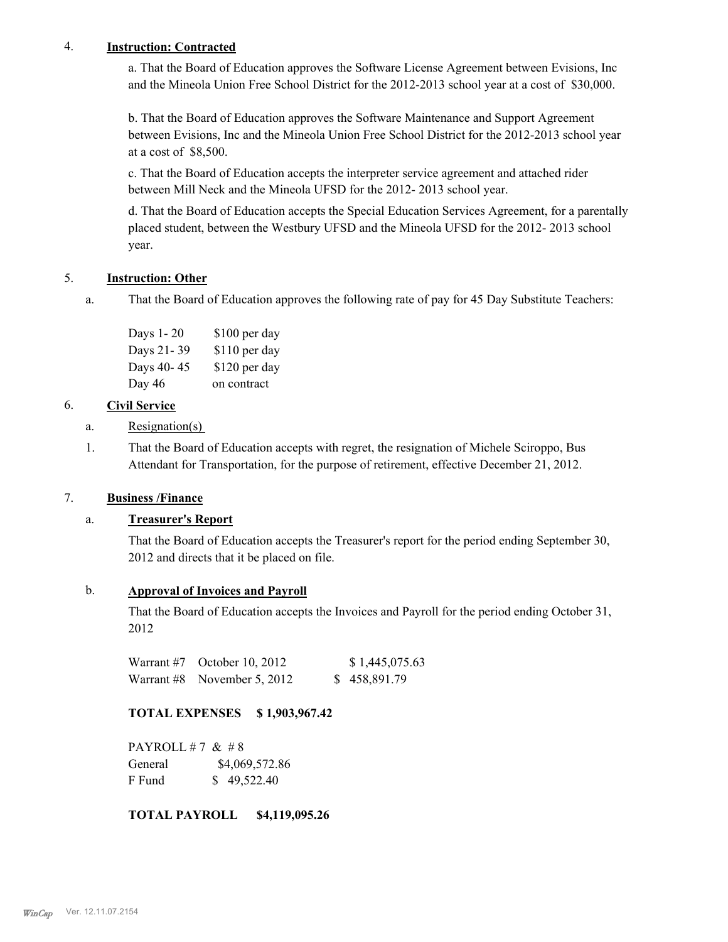## 4. **Instruction: Contracted**

a. That the Board of Education approves the Software License Agreement between Evisions, Inc and the Mineola Union Free School District for the 2012-2013 school year at a cost of \$30,000.

b. That the Board of Education approves the Software Maintenance and Support Agreement between Evisions, Inc and the Mineola Union Free School District for the 2012-2013 school year at a cost of \$8,500.

c. That the Board of Education accepts the interpreter service agreement and attached rider between Mill Neck and the Mineola UFSD for the 2012- 2013 school year.

d. That the Board of Education accepts the Special Education Services Agreement, for a parentally placed student, between the Westbury UFSD and the Mineola UFSD for the 2012- 2013 school year.

# 5. **Instruction: Other**

That the Board of Education approves the following rate of pay for 45 Day Substitute Teachers: a.

| Days 1-20  | \$100 per day |
|------------|---------------|
| Days 21-39 | \$110 per day |
| Days 40-45 | \$120 per day |
| Day 46     | on contract   |

## 6. **Civil Service**

- a. Resignation(s)
- That the Board of Education accepts with regret, the resignation of Michele Sciroppo, Bus Attendant for Transportation, for the purpose of retirement, effective December 21, 2012. 1.

### 7. **Business /Finance**

### a. **Treasurer's Report**

That the Board of Education accepts the Treasurer's report for the period ending September 30, 2012 and directs that it be placed on file.

### b. **Approval of Invoices and Payroll**

That the Board of Education accepts the Invoices and Payroll for the period ending October 31, 2012

| Warrant $#7$ October 10, 2012 | \$1,445,075.63 |
|-------------------------------|----------------|
| Warrant #8 November 5, 2012   | \$458,891.79   |

# **TOTAL EXPENSES \$ 1,903,967.42**

PAYROLL #7  $& 48$ General  $$4,069,572.86$ F Fund \$ 49,522.40

### **TOTAL PAYROLL \$4,119,095.26**